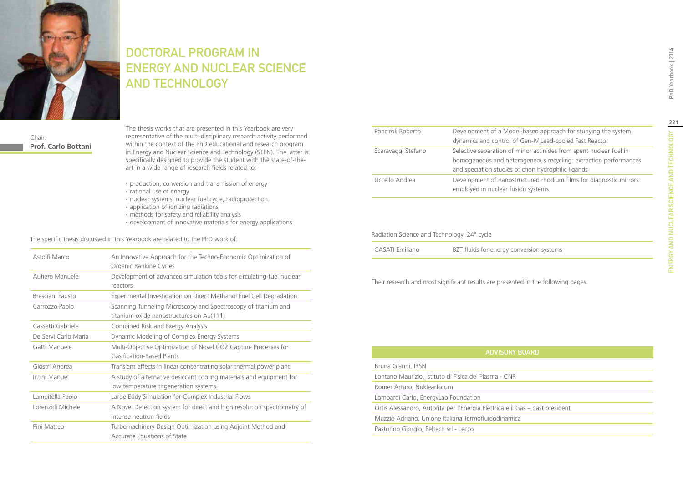

## DOCTORAL PROGRAM IN **ENERGY AND NUCLEAR SCIENCE** and Technology

Chair: **Prof. Carlo Bottani**

The thesis works that are presented in this Yearbook are very representative of the multi-disciplinary research activity performed within the context of the PhD educational and research program in Energy and Nuclear Science and Technology (STEN). The latter is specifically designed to provide the student with the state-of-theart in a wide range of research fields related to:

- ∙ production, conversion and transmission of energy
- ∙ rational use of energy
- ∙ nuclear systems, nuclear fuel cycle, radioprotection
- ∙ application of ionizing radiations
- ∙ methods for safety and reliability analysis
- ∙ development of innovative materials for energy applications

The specific thesis discussed in this Yearbook are related to the PhD work of:

| Astolfi Marco        | An Innovative Approach for the Techno-Economic Optimization of<br>Organic Rankine Cycles                       |
|----------------------|----------------------------------------------------------------------------------------------------------------|
| Aufiero Manuele      | Development of advanced simulation tools for circulating-fuel nuclear<br>reactors                              |
| Bresciani Fausto     | Experimental Investigation on Direct Methanol Fuel Cell Degradation                                            |
| Carrozzo Paolo       | Scanning Tunneling Microscopy and Spectroscopy of titanium and<br>titanium oxide nanostructures on Au(111)     |
| Cassetti Gabriele    | Combined Risk and Exergy Analysis                                                                              |
| De Servi Carlo Maria | Dynamic Modeling of Complex Energy Systems                                                                     |
| Gatti Manuele        | Multi-Objective Optimization of Novel CO2 Capture Processes for<br>Gasification-Based Plants                   |
| Giostri Andrea       | Transient effects in linear concentrating solar thermal power plant                                            |
| Intini Manuel        | A study of alternative desiccant cooling materials and equipment for<br>low temperature trigeneration systems. |
| Lampitella Paolo     | Large Eddy Simulation for Complex Industrial Flows                                                             |
| Lorenzoli Michele    | A Novel Detection system for direct and high resolution spectrometry of<br>intense neutron fields              |
| Pini Matteo          | Turbomachinery Design Optimization using Adjoint Method and<br>Accurate Equations of State                     |

| Ponciroli Roberto                          | Development of a Model-based approach for studying the system<br>dynamics and control of Gen-IV Lead-cooled Fast Reactor                                                                     |
|--------------------------------------------|----------------------------------------------------------------------------------------------------------------------------------------------------------------------------------------------|
| Scaravaggi Stefano                         | Selective separation of minor actinides from spent nuclear fuel in<br>homogeneous and heterogeneous recycling: extraction performances<br>and speciation studies of chon hydrophilic ligands |
| Uccello Andrea                             | Development of nanostructured rhodium films for diagnostic mirrors<br>employed in nuclear fusion systems                                                                                     |
| Radiation Science and Technology 24° cycle |                                                                                                                                                                                              |
| CASATI Emiliano                            | BZT fluids for energy conversion systems                                                                                                                                                     |
|                                            |                                                                                                                                                                                              |

Their research and most significant results are presented in the following pages.

| <b>ADVISORY BOARD</b>                                                        |  |
|------------------------------------------------------------------------------|--|
| Bruna Gianni, IRSN                                                           |  |
| Lontano Maurizio, Istituto di Fisica del Plasma - CNR                        |  |
| Romer Arturo, Nuklearforum                                                   |  |
| Lombardi Carlo, EnergyLab Foundation                                         |  |
| Ortis Alessandro, Autorità per l'Energia Elettrica e il Gas – past president |  |
| Muzzio Adriano, Unione Italiana Termofluidodinamica                          |  |
| Pastorino Giorgio, Peltech srl - Lecco                                       |  |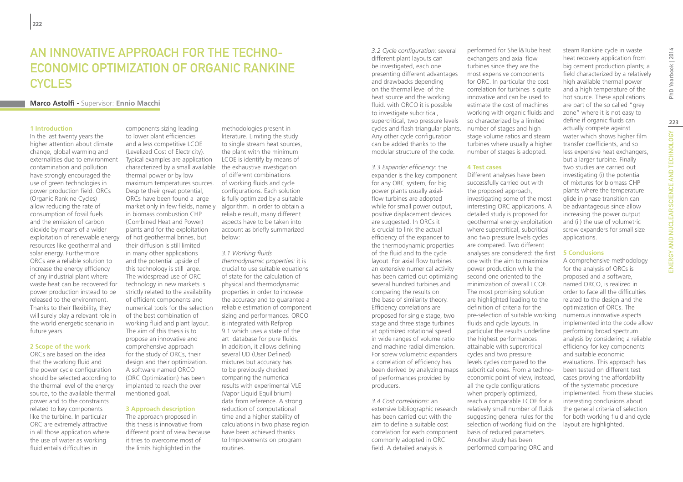## AN INNOVATIVE APPROACH FOR THE TECHNO-ECONOMIC OPTIMIZATION OF ORGANIC RANKINE **CYCLES**

#### **Marco Astolfi -** Supervisor: **Ennio Macchi**

#### **1 Introduction**

In the last twenty years the higher attention about climate change, global warming and externalities due to environment contamination and pollution have strongly encouraged the use of green technologies in power production field. ORCs (Organic Rankine Cycles) allow reducing the rate of consumption of fossil fuels and the emission of carbon dioxide by means of a wider exploitation of renewable energy resources like geothermal and solar energy. Furthermore ORCs are a reliable solution to increase the energy efficiency of any industrial plant where waste heat can be recovered for power production instead to be released to the environment. Thanks to their flexibility, they will surely play a relevant role in the world energetic scenario in future years.

#### **2 Scope of the work**

ORCs are based on the idea that the working fluid and the power cycle configuration should be selected according to the thermal level of the energy source, to the available thermal power and to the constraints related to key components like the turbine. In particular ORC are extremely attractive in all those application where the use of water as working fluid entails difficulties in

components sizing leading to lower plant efficiencies and a less competitive LCOE (Levelized Cost of Electricity). Typical examples are application characterized by a small available thermal power or by low maximum temperatures sources. of working fluids and cycle Despite their great potential, ORCs have been found a large market only in few fields, namely in biomass combustion CHP (Combined Heat and Power) plants and for the exploitation of hot geothermal brines, but their diffusion is still limited in many other applications and the potential upside of this technology is still large. The widespread use of ORC technology in new markets is strictly related to the availability of efficient components and numerical tools for the selection of the best combination of working fluid and plant layout. The aim of this thesis is to propose an innovative and comprehensive approach for the study of ORCs, their design and their optimization. A software named ORCO (ORC Optimization) has been implanted to reach the over mentioned goal.

#### **3 Approach description**

The approach proposed in this thesis is innovative from different point of view because it tries to overcome most of the limits highlighted in the

methodologies present in literature. Limiting the study to single stream heat sources, the plant with the minimum LCOE is identify by means of the exhaustive investigation of different combinations configurations. Each solution is fully optimized by a suitable algorithm. In order to obtain a reliable result, many different aspects have to be taken into account as briefly summarized below:

#### *3.1 Working fluids*

*thermodynamic properties:* it is crucial to use suitable equations of state for the calculation of physical and thermodynamic properties in order to increase the accuracy and to guarantee a reliable estimation of component sizing and performances. ORCO is integrated with Refprop 9.1 which uses a state of the art database for pure fluids. In addition, it allows defining several UD (User Defined) mixtures but accuracy has to be previously checked comparing the numerical results with experimental VLE (Vapor Liquid Equilibrium) data from reference. A strong reduction of computational time and a higher stability of calculations in two phase region have been achieved thanks to Improvements on program routines.

*3.2 Cycle configuration:* several different plant layouts can be investigated, each one presenting different advantages and drawbacks depending on the thermal level of the heat source and the working fluid. with ORCO it is possible to investigate subcritical, supercritical, two pressure levels cycles and flash triangular plants. Any other cycle configuration can be added thanks to the modular structure of the code.

*3.3 Expander efficiency:* the expander is the key component for any ORC system, for big power plants usually axialflow turbines are adopted while for small power output, positive displacement devices are suggested. In ORCs it is crucial to link the actual efficiency of the expander to the thermodynamic properties of the fluid and to the cycle layout. For axial flow turbines an extensive numerical activity has been carried out optimizing several hundred turbines and comparing the results on the base of similarity theory. Efficiency correlations are proposed for single stage, two stage and three stage turbines at optimized rotational speed in wide ranges of volume ratio and machine radial dimension. For screw volumetric expanders a correlation of efficiency has been derived by analyzing maps of performances provided by producers.

*3.4 Cost correlations:* an extensive bibliographic research has been carried out with the aim to define a suitable cost correlation for each component commonly adopted in ORC field. A detailed analysis is

performed for Shell&Tube heat exchangers and axial flow turbines since they are the most expensive components for ORC. In particular the cost correlation for turbines is quite innovative and can be used to estimate the cost of machines working with organic fluids and so characterized by a limited number of stages and high stage volume ratios and steam turbines where usually a higher number of stages is adopted.

#### **4 Test cases**

Different analyses have been successfully carried out with the proposed approach, investigating some of the most interesting ORC applications. A detailed study is proposed for geothermal energy exploitation where supercritical, subcritical and two pressure levels cycles are compared. Two different analyses are considered: the first **5 Conclusions** one with the aim to maximize power production while the second one oriented to the minimization of overall LCOE. The most promising solution are highlighted leading to the definition of criteria for the pre-selection of suitable working fluids and cycle layouts. In particular the results underline the highest performances attainable with supercritical cycles and two pressure levels cycles compared to the subcritical ones. From a technoeconomic point of view, instead, all the cycle configurations when properly optimized, reach a comparable LCOE for a relatively small number of fluids suggesting general rules for the selection of working fluid on the basis of reduced parameters. Another study has been performed comparing ORC and

steam Rankine cycle in waste heat recovery application from big cement production plants; a field characterized by a relatively high available thermal power and a high temperature of the hot source. These applications are part of the so called "grey zone" where it is not easy to define if organic fluids can actually compete against water which shows higher film transfer coefficients, and so less expensive heat exchangers, but a larger turbine. Finally two studies are carried out investigating (i) the potential of mixtures for biomass CHP plants where the temperature glide in phase transition can be advantageous since allow increasing the power output and (ii) the use of volumetric screw expanders for small size applications.

A comprehensive methodology for the analysis of ORCs is proposed and a software, named ORCO, is realized in order to face all the difficulties related to the design and the optimization of ORCs. The numerous innovative aspects implemented into the code allow performing broad spectrum analysis by considering a reliable efficiency for key components and suitable economic evaluations. This approach has been tested on different test cases proving the affordability of the systematic procedure implemented. From these studies interesting conclusions about the general criteria of selection for both working fluid and cycle layout are highlighted.

ENERGY AND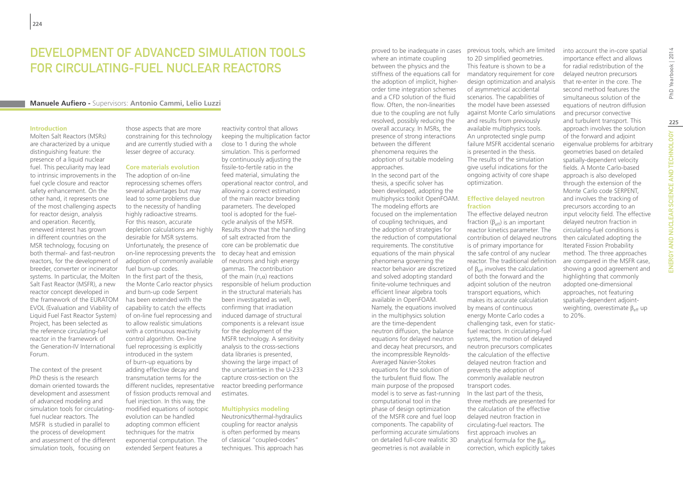## Development of advanced simulation tools for circulating-fuel nuclear reactors

#### **Manuele Aufiero -** Supervisors: **Antonio Cammi, Lelio Luzzi**

#### **Introduction**

Molten Salt Reactors (MSRs) are characterized by a unique distinguishing feature: the presence of a liquid nuclear fuel. This peculiarity may lead to intrinsic improvements in the fuel cycle closure and reactor safety enhancement. On the other hand, it represents one of the most challenging aspects for reactor design, analysis and operation. Recently, renewed interest has grown in different countries on the MSR technology, focusing on both thermal- and fast-neutron reactors, for the development of breeder, converter or incinerator systems. In particular, the Molten Salt Fast Reactor (MSFR), a new reactor concept developed in the framework of the EURATOM EVOL (Evaluation and Viability of Liquid Fuel Fast Reactor System) Project, has been selected as the reference circulating-fuel reactor in the framework of the Generation-IV International Forum.

The context of the present PhD thesis is the research domain oriented towards the development and assessment of advanced modeling and simulation tools for circulatingfuel nuclear reactors. The MSFR is studied in parallel to the process of development and assessment of the different simulation tools, focusing on

those aspects that are more constraining for this technology and are currently studied with a lesser degree of accuracy.

#### **Core materials evolution**

The adoption of on-line reprocessing schemes offers several advantages but may lead to some problems due to the necessity of handling highly radioactive streams. For this reason, accurate depletion calculations are highly desirable for MSR systems. Unfortunately, the presence of on-line reprocessing prevents the to decay heat and emission adoption of commonly available fuel burn-up codes. In the first part of the thesis, the Monte Carlo reactor physics and burn-up code Serpent has been extended with the capability to catch the effects of on-line fuel reprocessing and to allow realistic simulations with a continuous reactivity control algorithm. On-line fuel reprocessing is explicitly introduced in the system of burn-up equations by adding effective decay and transmutation terms for the different nuclides, representative of fission products removal and fuel injection. In this way, the modified equations of isotopic evolution can be handled adopting common efficient techniques for the matrix exponential computation. The extended Serpent features a

reactivity control that allows keeping the multiplication factor close to 1 during the whole simulation. This is performed by continuously adjusting the fissile-to-fertile ratio in the feed material, simulating the operational reactor control, and allowing a correct estimation of the main reactor breeding parameters. The developed tool is adopted for the fuelcycle analysis of the MSFR. Results show that the handling of salt extracted from the core can be problematic due of neutrons and high energy gammas. The contribution of the main  $(n, \alpha)$  reactions responsible of helium production in the structural materials has been investigated as well, confirming that irradiation induced damage of structural components is a relevant issue for the deployment of the MSFR technology. A sensitivity analysis to the cross-sections data libraries is presented, showing the large impact of the uncertainties in the U-233 capture cross-section on the reactor breeding performance estimates.

#### **Multiphysics modeling**

Neutronics/thermal-hydraulics coupling for reactor analysis is often performed by means of classical "coupled-codes" techniques. This approach has where an intimate coupling between the physics and the the adoption of implicit, higherorder time integration schemes and a CFD solution of the fluid flow. Often, the non-linearities due to the coupling are not fully resolved, possibly reducing the overall accuracy. In MSRs, the presence of strong interactions between the different phenomena requires the adoption of suitable modeling approaches.

In the second part of the thesis, a specific solver has been developed, adopting the multiphysics toolkit OpenFOAM. The modeling efforts are focused on the implementation of coupling techniques, and the adoption of strategies for the reduction of computational requirements. The constitutive equations of the main physical phenomena governing the reactor behavior are discretized and solved adopting standard finite-volume techniques and efficient linear algebra tools available in OpenFOAM. Namely, the equations involved in the multiphysics solution are the time-dependent neutron diffusion, the balance equations for delayed neutron and decay heat precursors, and the incompressible Reynolds-Averaged Navier-Stokes equations for the solution of the turbulent fluid flow. The main purpose of the proposed model is to serve as fast-running computational tool in the phase of design optimization of the MSFR core and fuel loop components. The capability of performing accurate simulations on detailed full-core realistic 3D geometries is not available in

proved to be inadequate in cases previous tools, which are limited stiffness of the equations call for mandatory requirement for core to 2D simplified geometries. This feature is shown to be a design optimization and analysis of asymmetrical accidental scenarios. The capabilities of the model have been assessed against Monte Carlo simulations and results from previously available multiphysics tools. An unprotected single pump failure MSFR accidental scenario is presented in the thesis. The results of the simulation give useful indications for the ongoing activity of core shape optimization.

#### **Effective delayed neutron fraction**

The effective delayed neutron fraction ( $β_{eff}$ ) is an important reactor kinetics parameter. The contribution of delayed neutrons is of primary importance for the safe control of any nuclear reactor. The traditional definition of  $β_{\text{eff}}$  involves the calculation of both the forward and the adjoint solution of the neutron transport equations, which makes its accurate calculation by means of continuous energy Monte Carlo codes a challenging task, even for staticfuel reactors. In circulating-fuel systems, the motion of delayed neutron precursors complicates the calculation of the effective delayed neutron fraction and prevents the adoption of commonly available neutron transport codes. In the last part of the thesis, three methods are presented for the calculation of the effective delayed neutron fraction in circulating-fuel reactors. The first approach involves an analytical formula for the  $\beta_{\text{eff}}$ correction, which explicitly takes

into account the in-core spatial importance effect and allows for radial redistribution of the delayed neutron precursors that re-enter in the core. The second method features the simultaneous solution of the equations of neutron diffusion and precursor convective and turbulent transport. This approach involves the solution of the forward and adjoint eigenvalue problems for arbitrary geometries based on detailed spatially-dependent velocity fields. A Monte Carlo-based approach is also developed through the extension of the Monte Carlo code SERPENT, and involves the tracking of precursors according to an input velocity field. The effective delayed neutron fraction in circulating-fuel conditions is then calculated adopting the Iterated Fission Probability method. The three approaches are compared in the MSFR case, showing a good agreement and highlighting that commonly adopted one-dimensional approaches, not featuring spatially-dependent adjointweighting, overestimate  $\beta_{\text{eff}}$  up to 20%.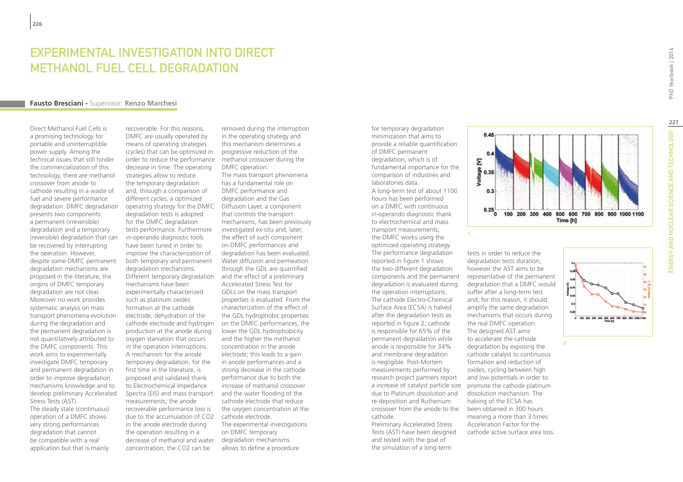## Experimental Investigation into Direct Methanol Fuel Cell degradation

#### **Fausto Bresciani -** Supervisor: **Renzo Marchesi**

Direct Methanol Fuel Cells is a promising technology for portable and uninterruptible power supply. Among the technical issues that still hinder the commercialization of this technology, there are methanol crossover from anode to cathode resulting in a waste of fuel and severe performance degradation. DMFC degradation presents two components: a permanent (irreversible) degradation and a temporary (reversible) degradation that can be recovered by interrupting the operation. However, despite some DMFC permanent degradation mechanisms are proposed in the literature, the origins of DMFC temporary degradation are not clear. Moreover no work provides systematic analysis on mass transport phenomena evolution during the degradation and the permanent degradation is not quantitatively attributed to the DMFC components. This work aims to experimentally investigate DMFC temporary and permanent degradation in order to improve degradation mechanisms knowledge and to develop preliminary Accelerated Stress Tests (AST).

The steady state (continuous) operation of a DMFC shows very strong performances degradation that cannot be compatible with a real application but that is mainly

recoverable. For this reasons, DMFC are usually operated by means of operating strategies (cycles) that can be optimized in order to reduce the performance decrease in time. The operating strategies allow to reduce the temporary degradation and, through a comparison of different cycles, a optimized operating strategy for the DMFC degradation tests is adopted for the DMFC degradation tests performance. Furthermore in-operando diagnostic tools have been tuned in order to improve the characterization of both temporary and permanent degradation mechanisms. Different temporary degradation mechanisms have been experimentally characterized such as platinum oxides formation at the cathode electrode, dehydration of the cathode electrode and hydrogen production at the anode during oxygen starvation that occurs in the operation interruptions. A mechanism for the anode temporary degradation, for the first time in the literature, is proposed and validated thank to Electrochemical Impedance Spectra (EIS) and mass transport measurements; the anode recoverable performance loss is due to the accumulation of CO2 in the anode electrode during the operation resulting in a decrease of methanol and water concentration; the CO2 can be

removed during the interruption in the operating strategy and this mechanism determines a progressive reduction of the methanol crossover during the DMFC operation.

The mass transport phenomena has a fundamental role on DMFC performance and degradation and the Gas Diffusion Layer, a component that controls the transport mechanisms, has been previously investigated ex-situ and, later, the effect of such component on DMFC performances and degradation has been evaluated. Water diffusion and permeation through the GDL are quantified and the effect of a preliminary Accelerated Stress Test for GDLs on the mass transport properties is evaluated. From the characterization of the effect of the GDL hydrophobic properties on the DMFC performances, the lower the GDL hydrophobicity and the higher the methanol concentration in the anode electrode; this leads to a gain in anode performances and a strong decrease in the cathode performance due to both the increase of methanol crossover and the water flooding of the cathode electrode that reduce the oxygen concentration at the cathode electrode. The experimental investigations on DMFC temporary

degradation mechanisms allows to define a procedure for temporary degradation minimization that aims to provide a reliable quantification of DMFC permanent degradation, which is of fundamental importance for the comparison of industries and laboratories data. A long-term test of about 1100 hours has been performed on a DMFC with continuous in-operando diagnostic thank to electrochemical and mass transport measurements; the DMFC works using the optimized operating strategy. The performance degradation reported in figure 1 shows the two different degradation components and the permanent degradation is evaluated during the operation interruptions. The cathode Electro-Chemical Surface Area (ECSA) is halved after the degradation tests as reported in figure 2; cathode is responsible for 65% of the permanent degradation while anode is responsible for 34% and membrane degradation is negligible. Post-Mortem measurements performed by research project partners report a increase of catalyst particle size due to Platinum dissolution and re-deposition and Ruthenium crossover from the anode to the been obtained in 300 hours cathode. Preliminary Accelerated Stress

Tests (AST) have been designed and tested with the goal of the simulation of a long-term



degradation tests duration; however the AST aims to be representative of the permanent degradation that a DMFC would suffer after a long-term test and, for this reason, it should amplify the same degradation mechanisms that occurs during the real DMFC operation. The designed AST aims to accelerate the cathode degradation by exposing the cathode catalyst to continuous formation and reduction of oxides, cycling between high and low potentials in order to promote the cathode platinum dissolution mechanism. The halving of the ECSA has meaning a more than 3 times Acceleration Factor for the cathode active surface area loss.

tests in order to reduce the

**227**

PhD Yearbook | 2014

지 말로<br>이 모르 **2.**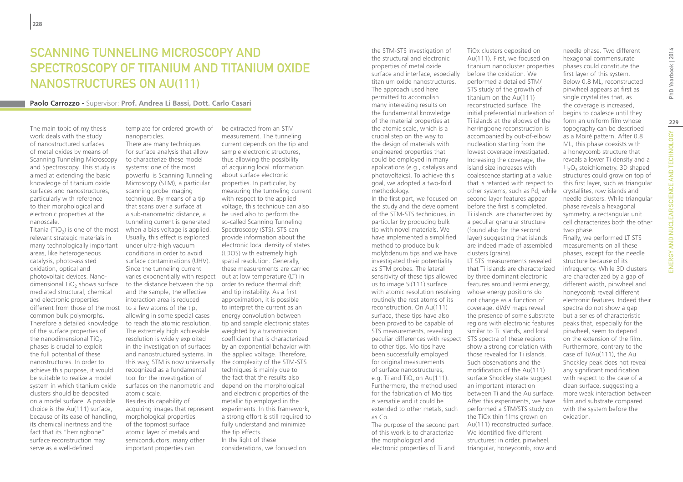# SCANNING TUNNELING MICROSCOPY AND Spectroscopy of titanium and titanium oxide nanostructures on Au(111)

#### **Paolo Carrozzo -** Supervisor: **Prof. Andrea Li Bassi, Dott. Carlo Casari**

The main topic of my thesis work deals with the study of nanostructured surfaces of metal oxides by means of Scanning Tunneling Microscopy and Spectroscopy. This study is aimed at extending the basic knowledge of titanium oxide surfaces and nanostructures, particularly with reference to their morphological and electronic properties at the nanoscale.

Titania (TiO<sub>2</sub>) is one of the most relevant strategic materials in many technologically important areas, like heterogeneous catalysis, photo-assisted oxidation, optical and photovoltaic devices. Nanodimensional  $TiO<sub>2</sub>$  shows surface mediated structural, chemical and electronic properties different from those of the most to a few atoms of the tip, common bulk polymorphs. Therefore a detailed knowledge of the surface properties of the nanodimensional  $TiO<sub>2</sub>$ phases is crucial to exploit the full potential of these nanostructures. In order to achieve this purpose, it would be suitable to realize a model system in which titanium oxide clusters should be deposited on a model surface. A possible choice is the Au(111) surface, because of its ease of handling, its chemical inertness and the fact that its "herringbone" surface reconstruction may serve as a well-defined

nanoparticles. There are many techniques for surface analysis that allow

to characterize these model systems: one of the most powerful is Scanning Tunneling Microscopy (STM), a particular scanning probe imaging technique. By means of a tip that scans over a surface at a sub-nanometric distance, a tunneling current is generated when a bias voltage is applied. Usually, this effect is exploited under ultra-high vacuum conditions in order to avoid surface contaminations (UHV). Since the tunneling current varies exponentially with respect out at low temperature (LT) in to the distance between the tip and the sample, the effective interaction area is reduced allowing in some special cases to reach the atomic resolution. The extremely high achievable resolution is widely exploited in the investigation of surfaces and nanostructured systems. In this way, STM is now universally recognized as a fundamental tool for the investigation of surfaces on the nanometric and atomic scale. Besides its capability of acquiring images that represent morphological properties of the topmost surface

atomic layer of metals and semiconductors, many other important properties can

template for ordered growth of be extracted from an STM measurement. The tunneling current depends on the tip and sample electronic structures, thus allowing the possibility of acquiring local information about surface electronic properties. In particular, by measuring the tunneling current with respect to the applied voltage, this technique can also be used also to perform the so-called Scanning Tunneling Spectroscopy (STS). STS can provide information about the electronic local density of states (LDOS) with extremely high spatial resolution. Generally, these measurements are carried order to reduce thermal drift and tip instability. As a first approximation, it is possible to interpret the current as an energy convolution between tip and sample electronic states weighted by a transmission coefficient that is characterized by an exponential behavior with the applied voltage. Therefore, the complexity of the STM-STS techniques is mainly due to the fact that the results also depend on the morphological and electronic properties of the metallic tip employed in the experiments. In this framework, a strong effort is still required to fully understand and minimize the tip effects. In the light of these considerations, we focused on

the STM-STS investigation of the structural and electronic properties of metal oxide surface and interface, especially titanium oxide nanostructures. The approach used here permitted to accomplish many interesting results on the fundamental knowledge of the material properties at the atomic scale, which is a crucial step on the way to the design of materials with engineered properties that could be employed in many applications (e.g., catalysis and photovoltaics). To achieve this goal, we adopted a two-fold methodology.

In the first part, we focused on the study and the development of the STM-STS techniques, in particular by producing bulk tip with novel materials. We have implemented a simplified method to produce bulk molybdenum tips and we have investigated their potentiality as STM probes. The lateral sensitivity of these tips allowed us to image Si(111) surface with atomic resolution resolving whose energy positions do routinely the rest atoms of its reconstruction. On Au(111) surface, these tips have also been proved to be capable of STS measurements, revealing peculiar differences with respect STS spectra of these regions to other tips. Mo tips have been successfully employed for original measurements of surface nanostructures, e.g. Ti and  $TiO_x$  on Au(111). Furthermore, the method used for the fabrication of Mo tips is versatile and it could be extended to other metals, such as Co. The purpose of the second part

of this work is to characterize the morphological and electronic properties of Ti and

TiOx clusters deposited on Au(111). First, we focused on titanium nanocluster properties before the oxidation. We performed a detailed STM/ STS study of the growth of titanium on the Au(111) reconstructed surface. The initial preferential nucleation of Ti islands at the elbows of the herringbone reconstruction is accompanied by out-of-elbow nucleation starting from the lowest coverage investigated. Increasing the coverage, the island size increases with coalescence starting at a value that is retarded with respect to other systems, such as Pd, while second layer features appear before the first is completed. Ti islands are characterized by a peculiar granular structure (found also for the second layer) suggesting that islands are indeed made of assembled clusters (grains). LT STS measurements revealed that Ti islands are characterized by three dominant electronic features around Fermi energy, not change as a function of coverage. dI/dV maps reveal the presence of some substrate regions with electronic features similar to Ti islands, and local show a strong correlation with those revealed for Ti islands. Such observations and the modification of the Au(111) surface Shockley state suggest an important interaction between Ti and the Au surface. After this experiments, we have performed a STM/STS study on the TiOx thin films grown on

Au(111) reconstructed surface. We identified five different structures: in order, pinwheel, triangular, honeycomb, row and form an uniform film whose topography can be described as a Moiré pattern. After 0.8 ML, this phase coexists with a honeycomb structure that reveals a lower Ti density and a Ti<sub>2</sub>O<sub>3</sub> stoichiometry. 3D shaped structures could grow on top of this first layer, such as triangular crystallites, row islands and needle clusters. While triangular phase reveals a hexagonal symmetry, a rectangular unit cell characterizes both the other two phase. Finally, we performed LT STS measurements on all these phases, except for the needle structure because of its infrequency. While 3D clusters are characterized by a gap of different width, pinwheel and honeycomb reveal different electronic features. Indeed their spectra do not show a gap but a series of characteristic peaks that, especially for the pinwheel, seem to depend on the extension of the film. Furthermore, contrary to the case of Ti/Au(111), the Au Shockley peak does not reveal any significant modification with respect to the case of a clean surface, suggesting a more weak interaction between film and substrate compared with the system before the oxidation.

needle phase. Two different hexagonal commensurate phases could constitute the first layer of this system. Below 0.8 ML, reconstructed pinwheel appears at first as single crystallites that, as the coverage is increased, begins to coalesce until they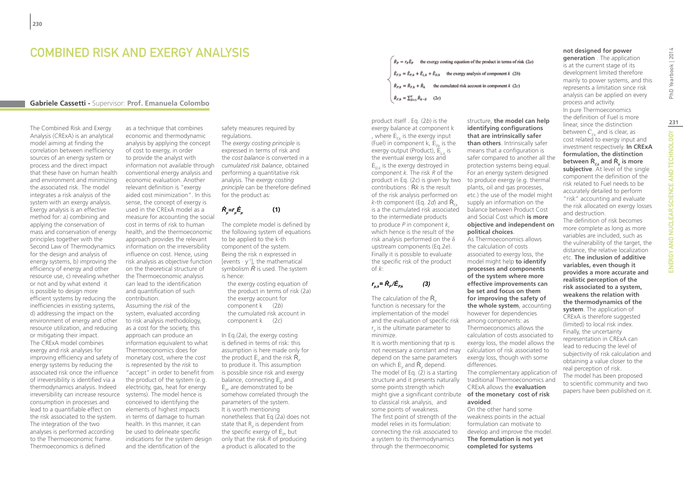## COMBINED RISK AND EXERGY ANALYSIS

#### **Gabriele Cassetti -** Supervisor: **Prof. Emanuela Colombo**

The Combined Risk and Exergy Analysis (CRExA) is an analytical model aiming at finding the correlation between inefficiency sources of an energy system or process and the direct impact that these have on human health and environment and minimizing the associated risk. The model integrates a risk analysis of the system with an exergy analysis. Exergy analysis is an effective method for: a) combining and applying the conservation of mass and conservation of energy principles together with the Second Law of Thermodynamics for the design and analysis of energy systems, b) improving the efficiency of energy and other resource use, c) revealing whether or not and by what extend it is possible to design more efficient systems by reducing the inefficiencies in existing systems, d) addressing the impact on the environment of energy and other resource utilization, and reducing or mitigating their impact. The CRExA model combines exergy and risk analyses for improving efficiency and safety of energy systems by reducing the associated risk once the influence of irreversibility is identified via a thermodynamics analysis. Indeed irreversibility can increase resource systems). The model hence is consumption in processes and lead to a quantifiable effect on the risk associated to the system. The integration of the two analyses is performed according to the Thermoeconomic frame. Thermoeconomics is defined

as a technique that combines economic and thermodynamic analysis by applying the concept of cost to exergy, in order to provide the analyst with information not available through conventional energy analysis and economic evaluation. Another relevant definition is "exergy aided cost minimization". In this sense, the concept of exergy is used in the CRExA model as a measure for accounting the social cost in terms of risk to human health, and the thermoeconomic approach provides the relevant information on the irreversibility influence on cost. Hence, using risk analysis as objective function on the theoretical structure of the Thermoeconomic analysis can lead to the identification and quantification of such contribution. Assuming the *risk* of the system, evaluated according to risk analysis methodology, as a cost for the society, this approach can produce an information equivalent to what Thermoeconomics does for monetary cost, where the *cost* is represented by the *risk* to "accept" in order to benefit from the product of the system (e.g. electricity, gas, heat for energy conceived to identifying the elements of highest impacts in terms of damage to human health. In this manner, it can be used to delineate specific indications for the system design and the identification of the

safety measures required by regulations. The *exergy costing principle* is expressed in terms of risk and the *cost balance* is converted in a *cumulated risk balance*, obtained performing a quantitative risk analysis. The *exergy costing principle* can be therefore defined for the product as:

#### $\dot{R} = r_{\perp} \dot{E}$  (1)

The complete model is defined by the following system of equations to be applied to the k-th component of the system. Being the risk n expressed in [events  $\cdot$  y<sup>-1</sup>], the mathematical symbolism  $\dot{R}$  is used. The system is hence:

the exergy costing equation of the product in terms of risk (2*a*) the exergy account for component k (2*b*) the cumulated risk account in component k (2*c*)

In Eq.(2*a*), the exergy costing is defined in terms of risk: this assumption is here made only for the product  $\mathrm{E}_{\rho}$  and the risk  $\mathrm{R}_{\rho}$ to produce it. This assumption is possible since risk and exergy balance, connecting  $\dot{E}_p$  and  $\dot{\bm{\mathrm{E}}}_{\rho}$  are demonstrated to be somehow correlated through the parameters of the system. It is worth mentioning nonetheless that Eq (2a) does not state that  $R_p$  is dependent from the specific exergy of  $\mathrm{E}_{\rho\prime}$  but only that the risk *R* of producing a product is allocated to the

 $\hat{R}_P = r_P \hat{E}_P$  the exergy costing equation of the product in terms of risk (2a)  $\hat{E}_{F,k} = \hat{E}_{F,k} + \hat{E}_{L,k} + \hat{E}_{D,k}$  the exergy analysis of component k (2b)  $\hat{R}_{P,k} = \hat{R}_{F,k} + \hat{R}_k$  the cumulated risk account in component k (2c)  $\dot{R}_{F,k} = \sum_{\delta=1}^{Y} \dot{R}_{k-\delta}$  (2c)

product itself . Eq. (2*b*) is the exergy balance at component k , where  $\dot{E}_{f,k}$  is the exergy input (Fuel) in component k,  $\dot{E}_{\rho k}$  is the exergy output (Product),  $\hat{E}_{\mu}$  is the eventual exergy loss and  $\dot{E}_{\text{D},k}$  is the exergy destroyed in component *k.* The risk *R* of the product in Eq. (2*c*) is given by two to produce exergy (e.g. thermal contributions : Ṙ*k* is the result of the risk analysis performed on  $k$ -th component (Eq. 2*d*) and  $\dot{\mathsf{R}}_{nk}$ is a the cumulated risk associated balance between Product Cost to the intermediate products to produce *P* in component *k*, which hence is the result of the risk analysis performed on the δ upstream components (Eq.2*e*). Finally it is possible to evaluate the specific risk of the product of *k*:

## $r_{p,k} = \dot{R}_p / \dot{E}_{p,k}$  (3)

The calculation of the **R**<sub>2</sub> function is necessary for the implementation of the model and the evaluation of specific risk  $r_{\rho}$  is the ultimate parameter to minimize.

It is worth mentioning that rp is not necessary a constant and may calculation of risk associated to depend on the same parameters on which  $E_{\rho}$  and  $R_{\rho}$  depend. The model of Eq. (2) is a starting structure and it presents naturally some points strength which might give a significant contribute **of the monetary cost of risk**  to classical risk analysis, and some points of weakness. The first point of strength of the model relies in its formulation: connecting the risk associated to a system to its thermodynamics through the thermoeconomic

structure, **the model can help identifying configurations that are intrinsically safer than others**. Intrinsically safer means that a configuration is safer compared to another all the protection systems being equal. For an energy system designed plants, oil and gas processes, etc.) the use of the model might supply an information on the and Social Cost which **is more objective and independent on political choices**.

As Thermoeconomics allows the calculation of costs associated to exergy loss, the model might help **to identify processes and components of the system where more effective improvements can be set and focus on them for improving the safety of the whole system**, accounting however for dependencies among components: as Thermoeconomics allows the calculation of costs associated to exergy loss, the model allows the exergy loss, though with some differences.

The complementary application of traditional Thermoeconomics and CRExA allows the **evaluation avoided**.

On the other hand some weakness points in the actual formulation can motivate to develop and improve the model. **The formulation is not yet completed for systems** 

#### **not designed for power**

**generation** . The application is at the current stage of its development limited therefore mainly to power systems, and this represents a limitation since risk analysis can be applied on every process and activity. In pure Thermoeconomics the definition of Fuel is more linear, since the distinction between  $\dot{C}_{\text{fit}}$  and is clear, as cost related to exergy input and investment respectively. **In CRExA formulation, the distinction**   ${\bf b}$ etween  ${\bf R}_{\epsilon k}$  and  ${\bf R}_k$  is more **subjective**. At level of the single component the definition of the risk related to Fuel needs to be accurately detailed to perform "risk" accounting and evaluate the risk allocated on exergy losses and destruction. The definition of risk becomes

more complete as long as more variables are included, such as the vulnerability of the target, the distance, the relative localization etc. **The inclusion of additive variables, even though it provides a more accurate and realistic perception of the risk associated to a system, weakens the relation with the thermodynamics of the system**. The application of CRExA is therefore suggested (limited) to local risk index. Finally, the uncertainty representation in CRExA can lead to reducing the level of subjectivity of risk calculation and obtaining a value closer to the real perception of risk.

The model has been proposed to scientific community and two papers have been published on it. PhD Yearbook | 2014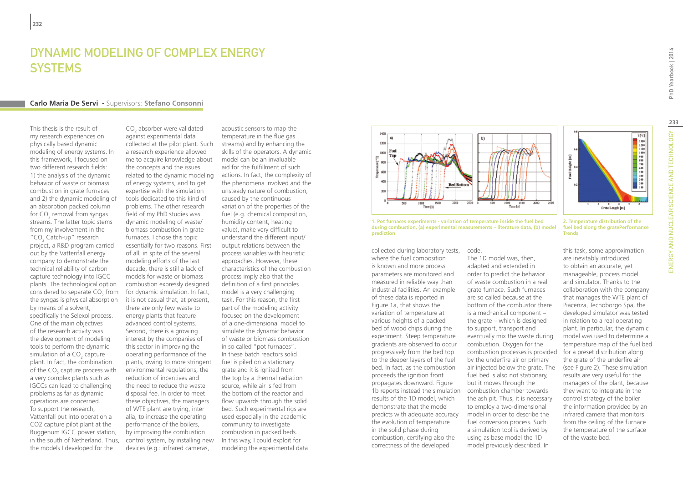## DYNAMIC MODELING OF COMPLEX ENERGY **SYSTEMS**

#### **Carlo Maria De Servi -** Supervisors: **Stefano Consonni**

This thesis is the result of my research experiences on physically based dynamic modeling of energy systems. In this framework, I focused on two different research fields: 1) the analysis of the dynamic behavior of waste or biomass combustion in grate furnaces and 2) the dynamic modeling of an absorption packed column for CO<sub>2</sub> removal from syngas streams. The latter topic stems from my involvement in the "CO<sub>2</sub> Catch-up" research project, a R&D program carried out by the Vattenfall energy company to demonstrate the technical reliability of carbon capture technology into IGCC plants. The technological option considered to separate  $\mathsf{CO}_2^{\vphantom{\dagger}}$  from the syngas is physical absorption by means of a solvent, specifically the Selexol process. One of the main objectives of the research activity was the development of modeling tools to perform the dynamic simulation of a CO<sub>2</sub> capture plant. In fact, the combination of the CO<sub>2</sub> capture process with a very complex plants such as IGCCs can lead to challenging problems as far as dynamic operations are concerned. To support the research, Vattenfall put into operation a CO2 capture pilot plant at the Buggenum IGCC power station, in the south of Netherland. Thus, the models I developed for the

 $CO<sub>2</sub>$  absorber were validated against experimental data collected at the pilot plant. Such a research experience allowed me to acquire knowledge about the concepts and the issues related to the dynamic modeling of energy systems, and to get expertise with the simulation tools dedicated to this kind of problems. The other research field of my PhD studies was dynamic modeling of waste/ biomass combustion in grate furnaces. I chose this topic essentially for two reasons. First of all, in spite of the several modeling efforts of the last decade, there is still a lack of models for waste or biomass combustion expressly designed for dynamic simulation. In fact, it is not casual that, at present, there are only few waste to energy plants that feature advanced control systems. Second, there is a growing interest by the companies of this sector in improving the operating performance of the plants, owing to more stringent environmental regulations, the reduction of incentives and the need to reduce the waste disposal fee. In order to meet these objectives, the managers of WTE plant are trying, inter alia, to increase the operating performance of the boilers, by improving the combustion control system, by installing new devices (e.g.: infrared cameras,

acoustic sensors to map the temperature in the flue gas streams) and by enhancing the skills of the operators. A dynamic model can be an invaluable aid for the fulfillment of such actions. In fact, the complexity of the phenomena involved and the unsteady nature of combustion, caused by the continuous variation of the properties of the fuel (e.g. chemical composition, humidity content, heating value), make very difficult to understand the different input/ output relations between the process variables with heuristic approaches. However, these characteristics of the combustion process imply also that the definition of a first principles model is a very challenging task. For this reason, the first part of the modeling activity focused on the development of a one-dimensional model to simulate the dynamic behavior of waste or biomass combustion in so called "pot furnaces". In these batch reactors solid fuel is piled on a stationary grate and it is ignited from the top by a thermal radiation source, while air is fed from the bottom of the reactor and flow upwards through the solid bed. Such experimental rigs are used especially in the academic community to investigate combustion in packed beds. In this way, I could exploit for modeling the experimental data



**1. Pot furnaces experiments - variation of temperature inside the fuel bed during combustion, (a) experimental measurements – literature data, (b) model prediction**

collected during laboratory tests, code. where the fuel composition is known and more process parameters are monitored and measured in reliable way than industrial facilities. An example of these data is reported in Figure 1a, that shows the variation of temperature at various heights of a packed bed of wood chips during the experiment. Steep temperature gradients are observed to occur progressively from the bed top to the deeper layers of the fuel bed. In fact, as the combustion proceeds the ignition front propagates downward. Figure 1b reports instead the simulation combustion chamber towards results of the 1D model, which demonstrate that the model predicts with adequate accuracy the evolution of temperature in the solid phase during combustion, certifying also the correctness of the developed

The 1D model was, then, adapted and extended in order to predict the behavior of waste combustion in a real grate furnace. Such furnaces are so called because at the bottom of the combustor there is a mechanical component – the grate – which is designed to support, transport and eventually mix the waste during combustion. Oxygen for the combustion processes is provided by the underfire air or primary air injected below the grate. The fuel bed is also not stationary, but it moves through the the ash pit. Thus, it is necessary to employ a two-dimensional model in order to describe the fuel conversion process. Such a simulation tool is derived by using as base model the 1D model previously described. In

1380<br>1890<br>1890 1890<br>1890 1890 1890<br>1890 1890 1890<br>1890 1890 1890 Grate Length [m]

 $T[\mathcal{C}]$ 

PhD Yearbook | 2014

**2. Temperature distribution of the fuel bed along the gratePerformance Trends**

this task, some approximation are inevitably introduced to obtain an accurate, yet manageable, process model and simulator. Thanks to the collaboration with the company that manages the WTE plant of Piacenza, Tecnoborgo Spa, the developed simulator was tested in relation to a real operating plant. In particular, the dynamic model was used to determine a temperature map of the fuel bed for a preset distribution along the grate of the underfire air (see Figure 2). These simulation results are very useful for the managers of the plant, because they want to integrate in the control strategy of the boiler the information provided by an infrared camera that monitors from the ceiling of the furnace the temperature of the surface of the waste bed.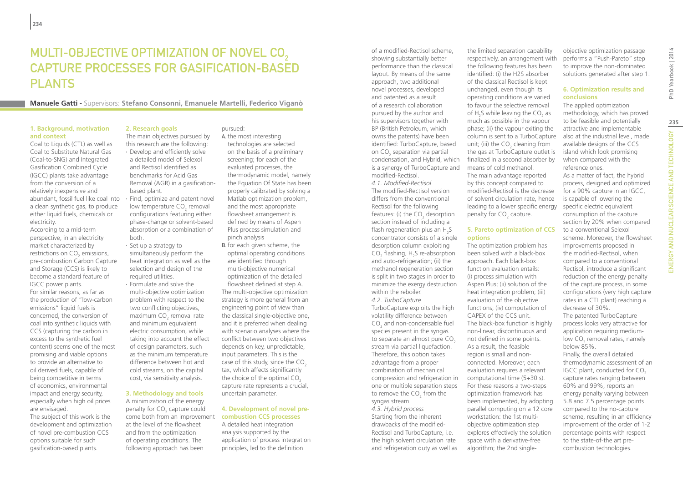# MULTI-OBJECTIVE OPTIMIZATION OF NOVEL CO<sub>2</sub> Capture Processes for Gasification-Based **PLANTS**

**Manuele Gatti -** Supervisors: **Stefano Consonni, Emanuele Martelli, Federico Viganò**

#### **1. Background, motivation and context**

Coal to Liquids (CTL) as well as Coal to Substitute Natural Gas (Coal-to-SNG) and Integrated Gasification Combined Cycle (IGCC) plants take advantage from the conversion of a relatively inexpensive and abundant, fossil fuel like coal into a clean synthetic gas, to produce either liquid fuels, chemicals or electricity.

According to a mid-term perspective, in an electricity market characterized by restrictions on  $\mathsf{CO}_2$  emissions, pre-combustion Carbon Capture and Storage (CCS) is likely to become a standard feature of IGCC power plants. For similar reasons, as far as the production of "low-carbon emissions" liquid fuels is concerned, the conversion of coal into synthetic liquids with CCS (capturing the carbon in excess to the synthetic fuel content) seems one of the most promising and viable options to provide an alternative to oil derived fuels, capable of being competitive in terms of economics, environmental impact and energy security, especially when high oil prices are envisaged.

The subject of this work is the development and optimization of novel pre-combustion CCS options suitable for such gasification-based plants.

### **2. Research goals**

The main objectives pursued by this research are the following: ∙ Develop and efficiently solve a detailed model of Selexol and Rectisol identified as benchmarks for Acid Gas Removal (AGR) in a gasificationbased plant.

∙ Find, optimize and patent novel low temperature CO<sub>2</sub> removal configurations featuring either phase-change or solvent-based absorption or a combination of both.

- ∙ Set up a strategy to simultaneously perform the heat integration as well as the selection and design of the required utilities.
- ∙ Formulate and solve the multi-objective optimization problem with respect to the two conflicting objectives, maximum  $CO<sub>2</sub>$  removal rate and minimum equivalent electric consumption, while taking into account the effect of design parameters, such as the minimum temperature difference between hot and cold streams, on the capital cost, via sensitivity analysis.

#### **3. Methodology and tools**

A minimization of the energy penalty for  $CO<sub>2</sub>$  capture could come both from an improvement at the level of the flowsheet and from the optimization of operating conditions. The following approach has been

#### pursued:

- A. the most interesting technologies are selected on the basis of a preliminary screening; for each of the evaluated processes, the thermodynamic model, namely the Equation Of State has been properly calibrated by solving a Matlab optimization problem, and the most appropriate flowsheet arrangement is defined by means of Aspen Plus process simulation and pinch analysis
- B. for each given scheme, the optimal operating conditions are identified through multi-objective numerical optimization of the detailed flowsheet defined at step A. The multi-objective optimization strategy is more general from an engineering point of view than the classical single-objective one, and it is preferred when dealing with scenario analyses where the conflict between two objectives depends on key, unpredictable, input parameters. This is the case of this study, since the  $CO<sub>2</sub>$ tax, which affects significantly the choice of the optimal CO<sub>2</sub> capture rate represents a crucial, uncertain parameter.

#### **4. Development of novel precombustion CCS processes**

A detailed heat integration analysis supported by the application of process integration principles, led to the definition

of a modified-Rectisol scheme, showing substantially better performance than the classical layout. By means of the same approach, two additional novel processes, developed and patented as a result of a research collaboration pursued by the author and his supervisors together with BP (British Petroleum, which owns the patents) have been identified: TurboCapture, based on CO<sub>2</sub> separation via partial condensation, and Hybrid, which is a synergy of TurboCapture and modified-Rectisol. *4.1. Modified-Rectisol* The modified-Rectisol version differs from the conventional

Rectisol for the following features: (i) the  $CO<sub>2</sub>$  desorption section instead of including a flash regeneration plus an  $H_{2}$ S concentrator consists of a single desorption column exploiting  $CO<sub>2</sub>$  flashing, H<sub>2</sub>S re-absorption and auto-refrigeration; (ii) the methanol regeneration section is split in two stages in order to minimize the exergy destruction within the reboiler.

*4.2. TurboCapture* TurboCapture exploits the high volatility difference between  $CO<sub>2</sub>$  and non-condensable fuel species present in the syngas to separate an almost pure CO<sub>2</sub> stream via partial liquefaction. Therefore, this option takes advantage from a proper combination of mechanical compression and refrigeration in one or multiple separation steps to remove the CO<sub>2</sub> from the syngas stream. *4.3. Hybrid process* Starting from the inherent

drawbacks of the modified-Rectisol and TurboCapture, i.e. the high solvent circulation rate and refrigeration duty as well as

the limited separation capability respectively, an arrangement with the following features has been identified: (i) the H2S absorber of the classical Rectisol is kept unchanged, even though its operating conditions are varied to favour the selective removal of  $H_2$ S while leaving the CO<sub>2</sub> as much as possible in the vapour phase; (ii) the vapour exiting the column is sent to a TurboCapture unit; (iii) the  $CO<sub>2</sub>$  cleaning from the gas at TurboCapture outlet is finalized in a second absorber by means of cold methanol. The main advantage reported by this concept compared to modified-Rectisol is the decrease of solvent circulation rate, hence leading to a lower specific energy penalty for  $CO<sub>2</sub>$  capture.

#### **5. Pareto optimization of CCS options**

The optimization problem has been solved with a black-box approach. Each black-box function evaluation entails: (i) process simulation with Aspen Plus; (ii) solution of the heat integration problem; (iii) evaluation of the objective functions; (iv) computation of CAPEX of the CCS unit. The black-box function is highly non-linear, discontinuous and not defined in some points. As a result, the feasible region is small and nonconnected. Moreover, each evaluation requires a relevant computational time (5÷30 s). For these reasons a two-steps optimization framework has been implemented, by adopting parallel computing on a 12 core workstation: the 1st multiobjective optimization step explores effectively the solution space with a derivative-free algorithm; the 2nd singleobjective optimization passage performs a "Push-Pareto" step to improve the non-dominated solutions generated after step 1.

#### **6. Optimization results and conclusions**

The applied optimization methodology, which has proved to be feasible and potentially attractive and implementable also at the industrial level, made available designs of the CCS island which look promising when compared with the reference ones.

As a matter of fact, the hybrid process, designed and optimized for a 90% capture in an IGCC, is capable of lowering the specific electric equivalent consumption of the capture section by 20% when compared to a conventional Selexol scheme. Moreover, the flowsheet improvements proposed in the modified-Rectisol, when compared to a conventional Rectisol, introduce a significant reduction of the energy penalty of the capture process, in some configurations (very high capture rates in a CTL plant) reaching a decrease of 30%. The patented TurboCapture process looks very attractive for application requiring mediumlow CO<sub>2</sub> removal rates, namely below 85%. Finally, the overall detailed thermodynamic assessment of an IGCC plant, conducted for CO<sub>2</sub> capture rates ranging between 60% and 99%, reports an

energy penalty varying between 5.8 and 7.5 percentage points compared to the no-capture scheme, resulting in an efficiency improvement of the order of 1-2 percentage points with respect to the state-of-the art precombustion technologies.

# Nuclear Science and Technology PhD Yearbook | 2014 **235**ENERGY AND NUCLEAR SCIENCE AND TECHNOLOGY ENERGY AND

PhD Yearbook | 2014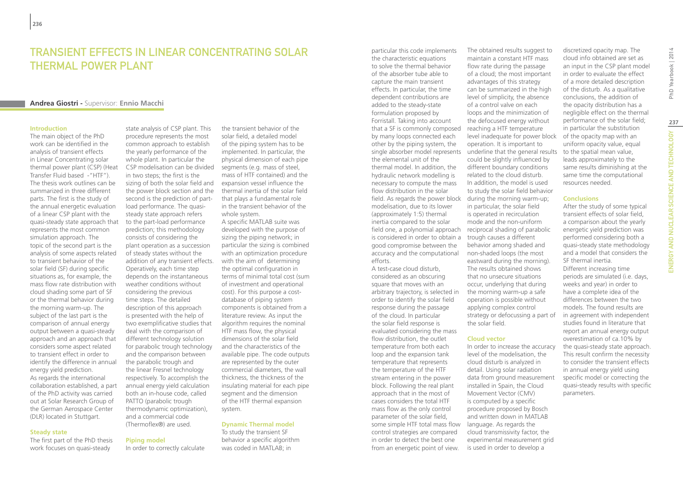## Transient effects in linear concentrating solar thermal power plant

#### **Andrea Giostri -** Supervisor: **Ennio Macchi**

#### **Introduction**

The main object of the PhD work can be identified in the analysis of transient effects in Linear Concentrating solar thermal power plant (CSP) (Heat Transfer Fluid based -"HTF"). The thesis work outlines can be summarized in three different parts. The first is the study of the annual energetic evaluation of a linear CSP plant with the quasi-steady state approach that represents the most common simulation approach. The topic of the second part is the analysis of some aspects related to transient behavior of the solar field (SF) during specific situations as, for example, the mass flow rate distribution with cloud shading some part of SF or the thermal behavior during the morning warm-up. The subject of the last part is the comparison of annual energy output between a quasi-steady approach and an approach that considers some aspect related to transient effect in order to identify the difference in annual energy yield prediction. As regards the international collaboration established, a part of the PhD activity was carried out at Solar Research Group of the German Aerospace Center (DLR) located in Stuttgart.

#### **Steady state**

The first part of the PhD thesis work focuses on quasi-steady

state analysis of CSP plant. This procedure represents the most common approach to establish the yearly performance of the whole plant. In particular the CSP modelisation can be divided in two steps; the first is the sizing of both the solar field and the power block section and the second is the prediction of partload performance. The quasisteady state approach refers to the part-load performance prediction; this methodology consists of considering the plant operation as a succession of steady states without the addition of any transient effects. Operatively, each time step depends on the instantaneous weather conditions without considering the previous time steps. The detailed description of this approach is presented with the help of two exemplificative studies that deal with the comparison of different technology solution for parabolic trough technology and the comparison between the parabolic trough and the linear Fresnel technology respectively. To accomplish the annual energy yield calculation both an in-house code, called PATTO (parabolic trough thermodynamic optimization), and a commercial code (Thermoflex®) are used.

**Piping model**

In order to correctly calculate

the transient behavior of the solar field, a detailed model of the piping system has to be implemented. In particular, the physical dimension of each pipe segments (e.g. mass of steel, mass of HTF contained) and the expansion vessel influence the thermal inertia of the solar field that plays a fundamental role in the transient behavior of the whole system.

A specific MATLAB suite was developed with the purpose of sizing the piping network; in particular the sizing is combined with an optimization procedure with the aim of determining the optimal configuration in terms of minimal total cost (sum of investment and operational cost). For this purpose a costdatabase of piping system components is obtained from a literature review. As input the algorithm requires the nominal HTF mass flow, the physical dimensions of the solar field and the characteristics of the available pipe. The code outputs are represented by the outer commercial diameters, the wall thickness, the thickness of the insulating material for each pipe segment and the dimension of the HTF thermal expansion system.

#### **Dynamic Thermal model**

To study the transient SF behavior a specific algorithm was coded in MATLAB; in

particular this code implements the characteristic equations to solve the thermal behavior of the absorber tube able to capture the main transient effects. In particular, the time dependent contributions are added to the steady-state formulation proposed by Forristall. Taking into account that a SF is commonly composed by many loops connected each other by the piping system, the the elemental unit of the thermal model. In addition, the hydraulic network modelling is necessary to compute the mass flow distribution in the solar modelisation, due to its lower (approximately 1:5) thermal inertia compared to the solar is considered in order to obtain a trough causes a different good compromise between the accuracy and the computational efforts.

A test-case cloud disturb, considered as an obscuring square that moves with an arbitrary trajectory, is selected in order to identify the solar field response during the passage of the cloud. In particular the solar field response is evaluated considering the mass flow distribution, the outlet temperature from both each loop and the expansion tank temperature that represents the temperature of the HTF stream entering in the power block. Following the real plant approach that in the most of cases considers the total HTF mass flow as the only control parameter of the solar field, some simple HTF total mass flow language. As regards the control strategies are compared in order to detect the best one from an energetic point of view.

single absorber model represents underline that the general results field. As regards the power block during the morning warm-up; field one, a polynomial approach reciprocal shading of parabolic The obtained results suggest to maintain a constant HTF mass flow rate during the passage of a cloud; the most important advantages of this strategy can be summarized in the high level of simplicity, the absence of a control valve on each loops and the minimization of the defocused energy without reaching a HTF temperature level inadequate for power block operation. It is important to could be slightly influenced by different boundary conditions related to the cloud disturb. In addition, the model is used to study the solar field behavior in particular, the solar field is operated in recirculation mode and the non-uniform behavior among shaded and non-shaded loops (the most eastward during the morning). The results obtained shows that no unsecure situations occur, underlying that during the morning warm-up a safe operation is possible without applying complex control strategy or defocussing a part of the solar field.

#### **Cloud vector**

In order to increase the accuracy level of the modelisation, the cloud disturb is analyzed in detail. Using solar radiation data from ground measurement installed in Spain, the Cloud Movement Vector (CMV) is computed by a specific procedure proposed by Bosch and written down in MATLAB cloud transmissivity factor, the experimental measurement grid is used in order to develop a

discretized opacity map. The cloud info obtained are set as an input in the CSP plant model in order to evaluate the effect of a more detailed description of the disturb. As a qualitative conclusions, the addition of the opacity distribution has a negligible effect on the thermal performance of the solar field; in particular the substitution of the opacity map with an uniform opacity value, equal to the spatial mean value, leads approximately to the same results diminishing at the same time the computational resources needed.

#### **Conclusions**

After the study of some typical transient effects of solar field, a comparison about the yearly energetic yield prediction was performed considering both a quasi-steady state methodology and a model that considers the SF thermal inertia. Different increasing time periods are simulated (i.e. days, weeks and year) in order to have a complete idea of the differences between the two models. The found results are in agreement with independent studies found in literature that report an annual energy output overestimation of ca.10% by the quasi-steady state approach. This result confirm the necessity to consider the transient effects in annual energy yield using specific model or correcting the quasi-steady results with specific parameters.

ENERGY AND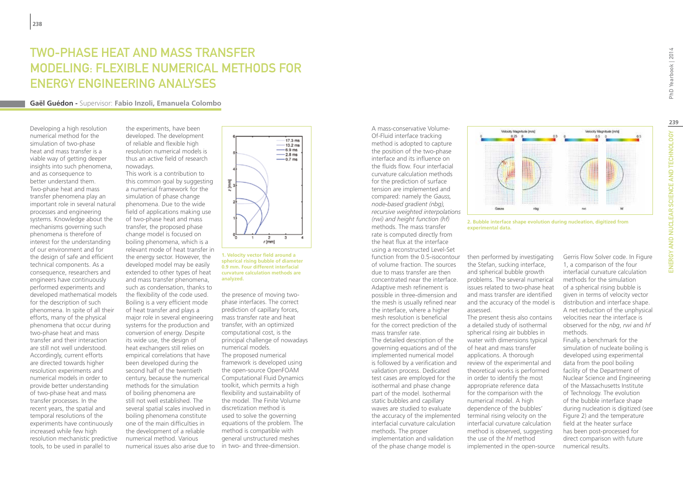## TWO-PHASE HEAT AND MASS TRANSFER MODELING: FLEXIBLE NUMERICAL METHODS FOR ENERGY ENGINEERING ANALYSES

#### **Gaël Guédon -** Supervisor: **Fabio Inzoli, Emanuela Colombo**

Developing a high resolution numerical method for the simulation of two-phase heat and mass transfer is a viable way of getting deeper insights into such phenomena, and as consequence to better understand them. Two-phase heat and mass transfer phenomena play an important role in several natural processes and engineering systems. Knowledge about the mechanisms governing such phenomena is therefore of interest for the understanding of our environment and for the design of safe and efficient technical components. As a consequence, researchers and engineers have continuously performed experiments and developed mathematical models for the description of such phenomena. In spite of all their efforts, many of the physical phenomena that occur during two-phase heat and mass transfer and their interaction are still not well understood. Accordingly, current efforts are directed towards higher resolution experiments and numerical models in order to provide better understanding of two-phase heat and mass transfer processes. In the recent years, the spatial and temporal resolutions of the experiments have continuously increased while few high resolution mechanistic predictive tools, to be used in parallel to

the experiments, have been developed. The development of reliable and flexible high resolution numerical models is thus an active field of research nowadays.

This work is a contribution to this common goal by suggesting a numerical framework for the simulation of phase change phenomena. Due to the wide field of applications making use of two-phase heat and mass transfer, the proposed phase change model is focused on boiling phenomena, which is a relevant mode of heat transfer in the energy sector. However, the developed model may be easily extended to other types of heat and mass transfer phenomena, such as condensation, thanks to the flexibility of the code used. Boiling is a very efficient mode of heat transfer and plays a major role in several engineering systems for the production and conversion of energy. Despite its wide use, the design of heat exchangers still relies on empirical correlations that have been developed during the second half of the twentieth century, because the numerical methods for the simulation of boiling phenomena are still not well established. The several spatial scales involved in boiling phenomena constitute one of the main difficulties in the development of a reliable numerical method. Various numerical issues also arise due to in two- and three-dimension.



**1. Velocity vector field around a spherical rising bubble of diameter 0.9 mm. Four different interfacial curvature calculation methods are analyzed.**

the presence of moving twophase interfaces. The correct prediction of capillary forces, mass transfer rate and heat transfer, with an optimized computational cost, is the principal challenge of nowadays numerical models. The proposed numerical framework is developed using the open-source OpenFOAM Computational Fluid Dynamics toolkit, which permits a high flexibility and sustainability of the model. The Finite Volume discretization method is used to solve the governing equations of the problem. The method is compatible with general unstructured meshes

Of-Fluid interface tracking method is adopted to capture the position of the two-phase interface and its influence on the fluids flow. Four interfacial curvature calculation methods for the prediction of surface tension are implemented and compared: namely the *Gauss, node-based gradient (nbg), recursive weighted interpolations (rwi) and height function (hf)* methods. The mass transfer rate is computed directly from the heat flux at the interface using a reconstructed Level-Set function from the 0.5-isocontour of volume fraction. The sources due to mass transfer are then concentrated near the interface. Adaptive mesh refinement is possible in three-dimension and the mesh is usually refined near the interface, where a higher mesh resolution is beneficial for the correct prediction of the mass transfer rate.

A mass-conservative Volume-

The detailed description of the governing equations and of the implemented numerical model is followed by a verification and validation process. Dedicated test cases are employed for the isothermal and phase change part of the model. Isothermal static bubbles and capillary waves are studied to evaluate the accuracy of the implemented interfacial curvature calculation methods. The proper implementation and validation of the phase change model is



**2. Bubble interface shape evolution during nucleation, digitized from experimental data.**

then performed by investigating the Stefan, sucking interface, and spherical bubble growth problems. The several numerical issues related to two-phase heat and mass transfer are identified and the accuracy of the model is assessed.

The present thesis also contains a detailed study of isothermal spherical rising air bubbles in water with dimensions typical of heat and mass transfer applications. A thorough review of the experimental and theoretical works is performed in order to identify the most appropriate reference data for the comparison with the numerical model. A high dependence of the bubbles' terminal rising velocity on the interfacial curvature calculation method is observed, suggesting the use of the *hf* method implemented in the open-source Gerris Flow Solver code. In Figure 1, a comparison of the four interfacial curvature calculation methods for the simulation of a spherical rising bubble is given in terms of velocity vector distribution and interface shape. A net reduction of the unphysical velocities near the interface is observed for the *nbg*, *rwi* and *hf* methods.

Finally, a benchmark for the simulation of nucleate boiling is developed using experimental data from the pool boiling facility of the Department of Nuclear Science and Engineering of the Massachusetts Institute of Technology. The evolution of the bubble interface shape during nucleation is digitized (see Figure 2) and the temperature field at the heater surface has been post-processed for direct comparison with future numerical results.

ENERGY AND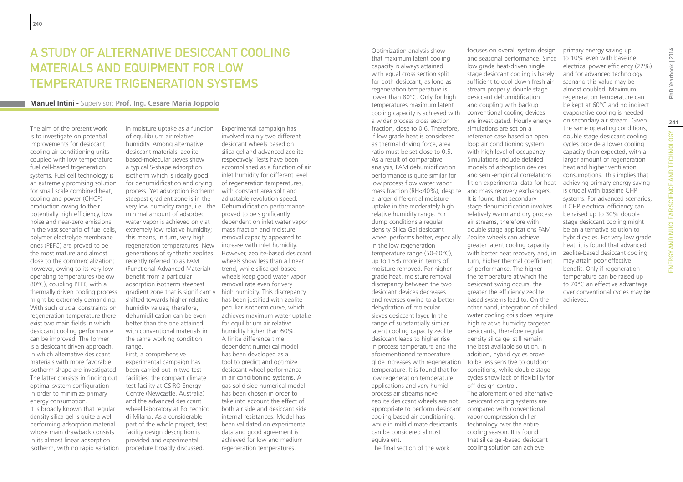## A STUDY OF ALTERNATIVE DESICCANT COOLING MATERIALS AND EQUIPMENT FOR LOW TEMPERATURE TRIGENERATION SYSTEMS

#### **Manuel Intini -** Supervisor: **Prof. Ing. Cesare Maria Joppolo**

The aim of the present work is to investigate on potential improvements for desiccant cooling air conditioning units coupled with low temperature fuel cell-based trigeneration systems. Fuel cell technology is an extremely promising solution for small scale combined heat, cooling and power (CHCP) production owing to their potentially high efficiency, low noise and near-zero emissions. In the vast scenario of fuel cells, polymer electrolyte membrane ones (PEFC) are proved to be the most mature and almost close to the commercialization; however, owing to its very low operating temperatures (below 80°C), coupling PEFC with a thermally driven cooling process might be extremely demanding. With such crucial constraints on regeneration temperature there exist two main fields in which desiccant cooling performance can be improved. The former is a desiccant driven approach, in which alternative desiccant materials with more favorable isotherm shape are investigated. The latter consists in finding out optimal system configuration in order to minimize primary energy consumption.

It is broadly known that regular density silica gel is quite a well performing adsorption material whose main drawback consists in its almost linear adsorption isotherm, with no rapid variation in moisture uptake as a function of equilibrium air relative humidity. Among alternative desiccant materials, zeolite based-molecular sieves show a typical S-shape adsorption isotherm which is ideally good for dehumidification and drying process. Yet adsorption isotherm steepest gradient zone is in the very low humidity range, i.e., the Dehumidification performance minimal amount of adsorbed water vapor is achieved only at extremely low relative humidity; this means, in turn, very high regeneration temperatures. New generations of synthetic zeolites recently referred to as FAM (Functional Advanced Material) benefit from a particular adsorption isotherm steepest gradient zone that is significantly shifted towards higher relative humidity values; therefore, dehumidification can be even better than the one attained with conventional materials in the same working condition range. First, a comprehensive

experimental campaign has been carried out in two test facilities: the compact climate test facility at CSIRO Energy Centre (Newcastle, Australia) and the advanced desiccant wheel laboratory at Politecnico di Milano. As a considerable part of the whole project, test facility design description is provided and experimental procedure broadly discussed.

Experimental campaign has involved mainly two different desiccant wheels based on silica gel and advanced zeolite respectively. Tests have been accomplished as a function of air inlet humidity for different level of regeneration temperatures, with constant area split and adjustable revolution speed. proved to be significantly dependent on inlet water vapor mass fraction and moisture removal capacity appeared to increase with inlet humidity. However, zeolite-based desiccant wheels show less than a linear trend, while silica gel-based wheels keep good water vapor removal rate even for very high humidity. This discrepancy has been justified with zeolite peculiar isotherm curve, which achieves maximum water uptake for equilibrium air relative humidity higher than 60%. A finite difference time dependent numerical model has been developed as a tool to predict and optimize desiccant wheel performance in air conditioning systems. A gas-solid side numerical model has been chosen in order to take into account the effect of both air side and desiccant side internal resistances. Model has been validated on experimental data and good agreement is achieved for low and medium regeneration temperatures.

Optimization analysis show that maximum latent cooling capacity is always attained with equal cross section split for both desiccant, as long as regeneration temperature is lower than 80°C. Only for high temperatures maximum latent cooling capacity is achieved with conventional cooling devices a wider process cross section fraction, close to 0.6. Therefore, if low grade heat is considered as thermal driving force, area ratio must be set close to 0.5. As a result of comparative analysis, FAM dehumidification performance is quite similar for low process flow water vapor mass fraction (RH<40%), despite and mass recovery exchangers. a larger differential moisture uptake in the moderately high relative humidity range. For dump conditions a regular density Silica Gel desiccant wheel performs better, especially in the low regeneration temperature range (50-60°C), up to 15% more in terms of moisture removed. For higher grade heat, moisture removal discrepancy between the two desiccant devices decreases and reverses owing to a better dehydration of molecular sieves desiccant layer. In the range of substantially similar latent cooling capacity zeolite desiccant leads to higher rise in process temperature and the aforementioned temperature glide increases with regeneration to be less sensitive to outdoor temperature. It is found that for low regeneration temperature applications and very humid process air streams novel zeolite desiccant wheels are not appropriate to perform desiccant compared with conventional cooling based air conditioning, while in mild climate desiccants can be considered almost equivalent.

The final section of the work

focuses on overall system design and seasonal performance. Since low grade heat-driven single stage desiccant cooling is barely sufficient to cool down fresh air stream properly, double stage desiccant dehumidification and coupling with backup are investigated. Hourly energy simulations are set on a reference case based on open loop air conditioning system with high level of occupancy. Simulations include detailed models of adsorption devices and semi-empirical correlations fit on experimental data for heat It is found that secondary stage dehumidification involves relatively warm and dry process air streams, therefore with double stage applications FAM Zeolite wheels can achieve greater latent cooling capacity with better heat recovery and, in turn, higher thermal coefficient of performance. The higher the temperature at which the desiccant swing occurs, the greater the efficiency zeolite based systems lead to. On the other hand, integration of chilled water cooling coils does require high relative humidity targeted desiccants, therefore regular density silica gel still remain the best available solution. In addition, hybrid cycles prove conditions, while double stage cycles show lack of flexibility for off-design control. The aforementioned alternative desiccant cooling systems are vapor compression chiller technology over the entire

cooling season. It is found that silica gel-based desiccant cooling solution can achieve

primary energy saving up to 10% even with baseline electrical power efficiency (22%) and for advanced technology scenario this value may be almost doubled. Maximum regeneration temperature can be kept at 60°C and no indirect evaporative cooling is needed on secondary air stream. Given the same operating conditions, double stage desiccant cooling cycles provide a lower cooling capacity than expected, with a larger amount of regeneration heat and higher ventilation consumptions. This implies that achieving primary energy saving is crucial with baseline CHP systems. For advanced scenarios, if CHP electrical efficiency can be raised up to 30% double stage desiccant cooling might be an alternative solution to hybrid cycles. For very low grade heat, it is found that advanced zeolite-based desiccant cooling may attain poor effective benefit. Only if regeneration temperature can be raised up to 70°C an effective advantage over conventional cycles may be achieved.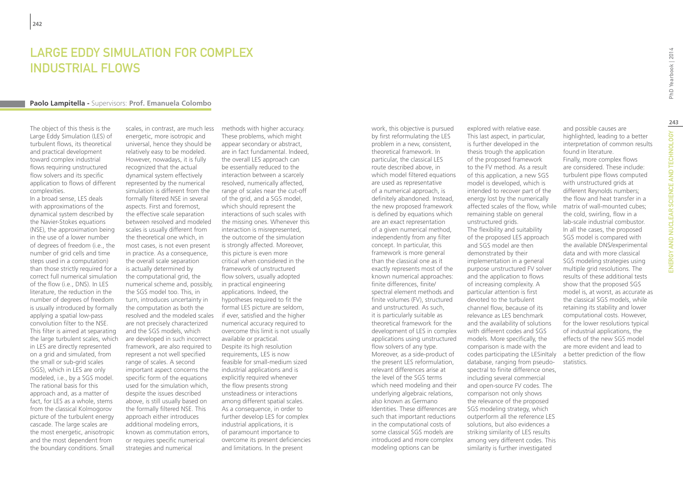## LARGE EDDY SIMULATION FOR COMPLEX INDUSTRIAL FLOWS

#### **Paolo Lampitella -** Supervisors: **Prof. Emanuela Colombo**

The object of this thesis is the Large Eddy Simulation (LES) of turbulent flows, its theoretical and practical development toward complex industrial flows requiring unstructured flow solvers and its specific application to flows of different complexities.

In a broad sense, LES deals with approximations of the dynamical system described by the Navier-Stokes equations (NSE), the approximation being in the use of a lower number of degrees of freedom (i.e., the number of grid cells and time steps used in a computation) than those strictly required for a correct full numerical simulation of the flow (i.e., DNS). In LES literature, the reduction in the number of degrees of freedom is usually introduced by formally applying a spatial low-pass convolution filter to the NSE. This filter is aimed at separating the large turbulent scales, which in LES are directly represented on a grid and simulated, from the small or sub-grid scales (SGS), which in LES are only modeled, i.e., by a SGS model. The rational basis for this approach and, as a matter of fact, for LES as a whole, stems from the classical Kolmogorov picture of the turbulent energy cascade. The large scales are the most energetic, anisotropic and the most dependent from the boundary conditions. Small

scales, in contrast, are much less energetic, more isotropic and universal, hence they should be relatively easy to be modeled. However, nowadays, it is fully recognized that the actual dynamical system effectively represented by the numerical simulation is different from the formally filtered NSE in several aspects. First and foremost, the effective scale separation between resolved and modeled scales is usually different from the theoretical one which, in most cases, is not even present in practice. As a consequence, the overall scale separation is actually determined by the computational grid, the numerical scheme and, possibly, the SGS model too. This, in turn, introduces uncertainty in the computation as both the resolved and the modeled scales are not precisely characterized and the SGS models, which are developed in such incorrect framework, are also required to represent a not well specified range of scales. A second important aspect concerns the specific form of the equations used for the simulation which, despite the issues described above, is still usually based on the formally filtered NSE. This approach either introduces additional modeling errors, known as commutation errors, or requires specific numerical strategies and numerical

methods with higher accuracy. These problems, which might appear secondary or abstract, are in fact fundamental. Indeed, the overall LES approach can be essentially reduced to the interaction between a scarcely resolved, numerically affected, range of scales near the cut-off of the grid, and a SGS model, which should represent the interactions of such scales with the missing ones. Whenever this interaction is misrepresented, the outcome of the simulation is strongly affected. Moreover, this picture is even more critical when considered in the framework of unstructured flow solvers, usually adopted in practical engineering applications. Indeed, the hypotheses required to fit the formal LES picture are seldom, if ever, satisfied and the higher numerical accuracy required to overcome this limit is not usually available or practical. Despite its high resolution requirements, LES is now feasible for small-medium sized industrial applications and is explicitly required whenever the flow presents strong unsteadiness or interactions among different spatial scales. As a consequence, in order to further develop LES for complex industrial applications, it is of paramount importance to overcome its present deficiencies and limitations. In the present

work, this objective is pursued by first reformulating the LES problem in a new, consistent, theoretical framework. In particular, the classical LES route described above, in which model filtered equations are used as representative of a numerical approach, is definitely abandoned. Instead, the new proposed framework is defined by equations which are an exact representation of a given numerical method, independently from any filter concept. In particular, this framework is more general than the classical one as it exactly represents most of the known numerical approaches: finite differences, finite/ spectral element methods and finite volumes (FV), structured and unstructured. As such, it is particularly suitable as theoretical framework for the development of LES in complex applications using unstructured flow solvers of any type. Moreover, as a side-product of the present LES reformulation, relevant differences arise at the level of the SGS terms which need modeling and their underlying algebraic relations, also known as Germano Identities. These differences are such that important reductions in the computational costs of some classical SGS models are introduced and more complex modeling options can be

explored with relative ease. This last aspect, in particular, is further developed in the thesis trough the application of the proposed framework to the FV method. As a result of this application, a new SGS model is developed, which is intended to recover part of the energy lost by the numerically affected scales of the flow, while remaining stable on general unstructured grids. The flexibility and suitability of the proposed LES approach and SGS model are then demonstrated by their implementation in a general purpose unstructured FV solver and the application to flows of increasing complexity. A particular attention is first devoted to the turbulent channel flow, because of its relevance as LES benchmark and the availability of solutions with different codes and SGS models. More specifically, the comparison is made with the codes participating the LESinItaly database, ranging from pseudospectral to finite difference ones, including several commercial and open-source FV codes. The comparison not only shows the relevance of the proposed SGS modeling strategy, which outperform all the reference LES solutions, but also evidences a striking similarity of LES results among very different codes. This similarity is further investigated

and possible causes are highlighted, leading to a better interpretation of common results found in literature. Finally, more complex flows are considered. These include: turbulent pipe flows computed with unstructured grids at different Reynolds numbers; the flow and heat transfer in a matrix of wall-mounted cubes; the cold, swirling, flow in a lab-scale industrial combustor. In all the cases, the proposed SGS model is compared with the available DNS/experimental data and with more classical SGS modeling strategies using multiple grid resolutions. The results of these additional tests show that the proposed SGS model is, at worst, as accurate as the classical SGS models, while retaining its stability and lower computational costs. However, for the lower resolutions typical of industrial applications, the effects of the new SGS model are more evident and lead to a better prediction of the flow statistics.

ENERGY AND

ENERGY AND NUCLEAR SCIENCE AND TECHNOLOGY | 2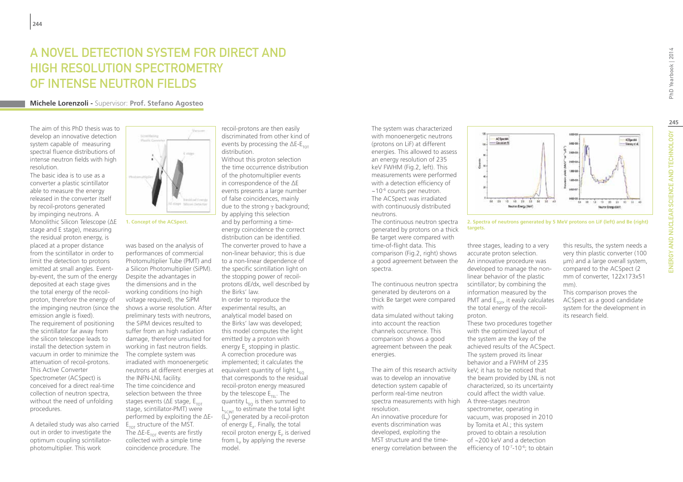## A novel detection system for direct and high resolution spectrometry of intense neutron fields

#### **Michele Lorenzoli -** Supervisor: **Prof. Stefano Agosteo**

The aim of this PhD thesis was to develop an innovative detection system capable of measuring spectral fluence distributions of intense neutron fields with high resolution.

The basic idea is to use as a converter a plastic scintillator able to measure the energy released in the converter itself by recoil-protons generated by impinging neutrons. A Monolithic Silicon Telescope (ΔE stage and E stage), measuring the residual proton energy, is placed at a proper distance from the scintillator in order to limit the detection to protons emitted at small angles. Eventby-event, the sum of the energy deposited at each stage gives the total energy of the recoilproton, therefore the energy of the impinging neutron (since the emission angle is fixed). The requirement of positioning the scintillator far away from the silicon telescope leads to install the detection system in vacuum in order to minimize the attenuation of recoil-protons. This Active Converter Spectrometer (ACSpect) is conceived for a direct real-time collection of neutron spectra, without the need of unfolding procedures.

A detailed study was also carried out in order to investigate the optimum coupling scintillatorphotomultiplier. This work



**1. Concept of the ACSpect.**

was based on the analysis of performances of commercial Photomultiplier Tube (PMT) and a Silicon Photomultiplier (SiPM). Despite the advantages in the dimensions and in the working conditions (no high voltage required), the SiPM shows a worse resolution. After preliminary tests with neutrons, the SiPM devices resulted to suffer from an high radiation damage, therefore unsuited for working in fast neutron fields. The complete system was irradiated with monoenergetic neutrons at different energies at the INFN-LNL facility. The time coincidence and selection between the three stages events ( $\Delta$ E stage, E<sub>TOT</sub> stage, scintillator-PMT) were performed by exploiting the ΔE- $E_{\text{tot}}$  structure of the MST. The  $\Delta E$ - $E_{\text{tot}}$  events are firstly collected with a simple time coincidence procedure. The

recoil-protons are then easily discriminated from other kind of events by processing the  $\Delta E$ - $E_{\text{tot}}$ distribution.

Without this proton selection the time occurrence distribution of the photomultiplier events in correspondence of the ΔE events presents a large number of false coincidences, mainly due to the strong γ background; by applying this selection and by performing a timeenergy coincidence the correct distribution can be identified. The converter proved to have a non-linear behavior; this is due to a non-linear dependence of the specific scintillation light on the stopping power of recoilprotons dE/dx, well described by the Birks' law.

In order to reproduce the experimental results, an analytical model based on the Birks' law was developed; this model computes the light emitted by a proton with energy E<sub>p</sub> stopping in plastic. A correction procedure was implemented; it calculates the equivalent quantity of light  $L_{EQ}$ that corresponds to the residual recoil-proton energy measured by the telescope  $E_{\text{refl}}$ . The quantity  $L_{\epsilon_0}$  is then summed to  $L_{\text{SCMT}}$  to estimate the total light  $(L_{p})$  generated by a recoil-proton of energy  $\mathsf{E}_\mathsf{p}$ . Finally, the total recoil proton energy  $\mathsf{E}_\mathsf{p}$  is derived from  $L_{\rm p}$  by applying the reverse model.

The system was characterized with monoenergetic neutrons (protons on LiF) at different energies. This allowed to assess an energy resolution of 235 keV FWHM (Fig.2, left). This measurements were performed with a detection efficiency of  $\sim$ 10<sup>-6</sup> counts per neutron. The ACSpect was irradiated with continuously distributed neutrons.

The continuous neutron spectra generated by protons on a thick Be target were compared with time-of-flight data. This comparison (Fig.2, right) shows a good agreement between the spectra.

The continuous neutron spectra generated by deuterons on a thick Be target were compared with

data simulated without taking into account the reaction channels occurrence. This comparison shows a good agreement between the peak energies.

The aim of this research activity was to develop an innovative detection system capable of perform real-time neutron spectra measurements with high A three-stages neutron resolution.

An innovative procedure for events discrimination was developed, exploiting the MST structure and the timeenergy correlation between the



**2. Spectra of neutrons generated by 5 MeV protons on LiF (left) and Be (right) targets.**

mm).

three stages, leading to a very accurate proton selection. An innovative procedure was developed to manage the nonlinear behavior of the plastic scintillator; by combining the information measured by the PMT and  $E_{\text{TOT}}$ , it easily calculates the total energy of the recoilproton.

These two procedures together with the optimized layout of the system are the key of the achieved results of the ACSpect. The system proved its linear behavior and a FWHM of 235 keV; it has to be noticed that the beam provided by LNL is not characterized, so its uncertainty could affect the width value. spectrometer, operating in vacuum, was proposed in 2010 by Tomita et Al.; this system proved to obtain a resolution of ~200 keV and a detection efficiency of 10<sup>-7</sup>-10<sup>-6</sup>; to obtain

This comparison proves the ACSpect as a good candidate system for the development in its research field.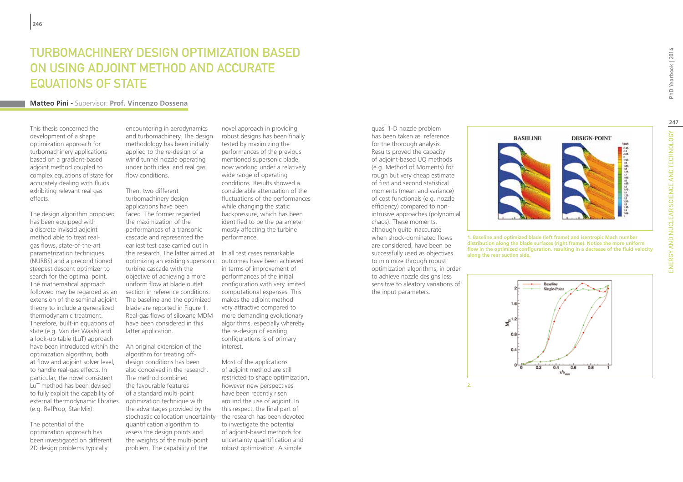## Turbomachinery Design Optimization based on using Adjoint Method and Accurate Equations of State

#### **Matteo Pini -** Supervisor: **Prof. Vincenzo Dossena**

This thesis concerned the development of a shape optimization approach for turbomachinery applications based on a gradient-based adjoint method coupled to complex equations of state for accurately dealing with fluids exhibiting relevant real gas effects.

The design algorithm proposed has been equipped with a discrete inviscid adjoint method able to treat realgas flows, state-of-the-art parametrization techniques (NURBS) and a preconditioned steepest descent optimizer to search for the optimal point. The mathematical approach followed may be regarded as an extension of the seminal adjoint theory to include a generalized thermodynamic treatment. Therefore, built-in equations of state (e.g. Van der Waals) and a look-up table (LuT) approach have been introduced within the An original extension of the optimization algorithm, both at flow and adjoint solver level, to handle real-gas effects. In particular, the novel consistent LuT method has been devised to fully exploit the capability of external thermodynamic libraries (e.g. RefProp, StanMix).

The potential of the optimization approach has been investigated on different 2D design problems typically

encountering in aerodynamics and turbomachinery. The design methodology has been initially applied to the re-design of a wind tunnel nozzle operating under both ideal and real gas flow conditions.

Then, two different turbomachinery design applications have been faced. The former regarded the maximization of the performances of a transonic cascade and represented the earliest test case carried out in this research. The latter aimed at In all test cases remarkable optimizing an existing supersonic outcomes have been achieved turbine cascade with the objective of achieving a more uniform flow at blade outlet section in reference conditions. The baseline and the optimized blade are reported in Figure 1. Real-gas flows of siloxane MDM have been considered in this latter application.

algorithm for treating offdesign conditions has been also conceived in the research. The method combined the favourable features of a standard multi-point optimization technique with the advantages provided by the stochastic collocation uncertainty quantification algorithm to assess the design points and the weights of the multi-point problem. The capability of the

novel approach in providing robust designs has been finally tested by maximizing the performances of the previous mentioned supersonic blade, now working under a relatively wide range of operating conditions. Results showed a considerable attenuation of the fluctuations of the performances while changing the static backpressure, which has been identified to be the parameter mostly affecting the turbine performance.

in terms of improvement of performances of the initial configuration with very limited computational expenses. This makes the adjoint method very attractive compared to more demanding evolutionary algorithms, especially whereby the re-design of existing configurations is of primary interest.

Most of the applications of adjoint method are still restricted to shape optimization, however new perspectives have been recently risen around the use of adjoint. In this respect, the final part of the research has been devoted to investigate the potential of adjoint-based methods for uncertainty quantification and robust optimization. A simple

has been taken as reference for the thorough analysis. Results proved the capacity of adjoint-based UQ methods (e.g. Method of Moments) for rough but very cheap estimate of first and second statistical moments (mean and variance) of cost functionals (e.g. nozzle efficiency) compared to nonintrusive approaches (polynomial chaos). These moments, although quite inaccurate when shock-dominated flows are considered, have been be successfully used as objectives to minimize through robust optimization algorithms, in order to achieve nozzle designs less sensitive to aleatory variations of the input parameters.

quasi 1-D nozzle problem



**DESIGN-POINT** 

**BASELINE** 

**distribution along the blade surfaces (right frame). Notice the more uniform flow in the optimized configuration, resulting in a decrease of the fluid velocity along the rear suction side.** 



**247**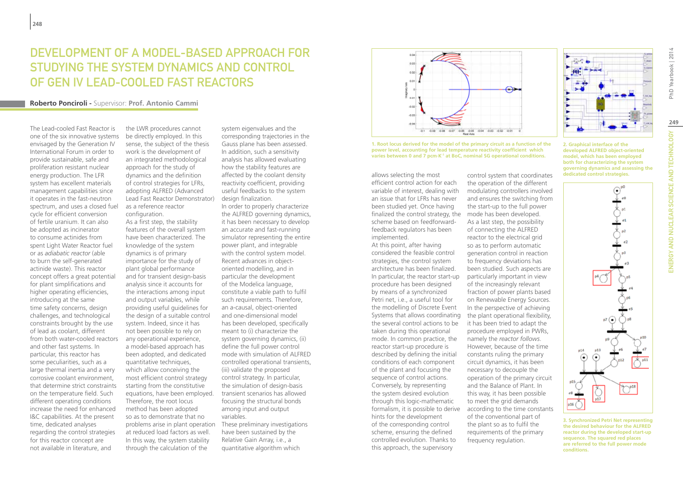## DEVELOPMENT OF A MODEL-BASED APPROACH FOR STUDYING THE SYSTEM DYNAMICS AND CONTROL OF GEN IV LEAD-COOLED FAST REACTORS

#### **Roberto Ponciroli -** Supervisor: **Prof. Antonio Cammi**

The Lead-cooled Fast Reactor is one of the six innovative systems envisaged by the Generation IV International Forum in order to provide sustainable, safe and proliferation resistant nuclear energy production. The LFR system has excellent materials management capabilities since it operates in the fast-neutron spectrum, and uses a closed fuel cycle for efficient conversion of fertile uranium. It can also be adopted as incinerator to consume actinides from spent Light Water Reactor fuel or as *adiabatic reactor* (able to burn the self-generated actinide waste). This reactor concept offers a great potential for plant simplifications and higher operating efficiencies, introducing at the same time safety concerns, design challenges, and technological constraints brought by the use of lead as coolant, different from both water-cooled reactors and other fast systems. In particular, this reactor has some peculiarities, such as a large thermal inertia and a very corrosive coolant environment, that determine strict constraints on the temperature field. Such different operating conditions increase the need for enhanced I&C capabilities. At the present time, dedicated analyses regarding the control strategies for this reactor concept are not available in literature, and

the LWR procedures cannot be directly employed. In this sense, the subject of the thesis work is the development of an integrated methodological approach for the study of dynamics and the definition of control strategies for LFRs, adopting ALFRED (Advanced Lead Fast Reactor Demonstrator) as a reference reactor configuration.

As a first step, the stability features of the overall system have been characterized. The knowledge of the system dynamics is of primary importance for the study of plant global performance and for transient design-basis analysis since it accounts for the interactions among input and output variables, while providing useful guidelines for the design of a suitable control system. Indeed, since it has not been possible to rely on any operational experience, a model-based approach has been adopted, and dedicated quantitative techniques, which allow conceiving the most efficient control strategy starting from the constitutive equations, have been employed. Therefore, the root locus method has been adopted so as to demonstrate that no problems arise in plant operation at reduced load factors as well. In this way, the system stability through the calculation of the

system eigenvalues and the corresponding trajectories in the Gauss plane has been assessed. In addition, such a sensitivity analysis has allowed evaluating how the stability features are affected by the coolant density reactivity coefficient, providing useful feedbacks to the system design finalization.

In order to properly characterize the ALFRED governing dynamics, it has been necessary to develop an accurate and fast-running simulator representing the entire power plant, and integrable with the control system model. Recent advances in objectoriented modelling, and in particular the development of the Modelica language, constitute a viable path to fulfil such requirements. Therefore, an a-causal, object-oriented and one-dimensional model has been developed, specifically meant to (i) characterize the system governing dynamics, (ii) define the full power control mode with simulation of ALFRED controlled operational transients, (iii) validate the proposed control strategy. In particular, the simulation of design-basis transient scenarios has allowed focusing the structural bonds among input and output variables.

These preliminary investigations have been sustained by the Relative Gain Array, i.e., a quantitative algorithm which



**1. Root locus derived for the model of the primary circuit as a function of the power level, accounting for lead temperature reactivity coefficient which varies between 0 and 7 pcm·K-1 at BoC, nominal SG operational conditions.**

finalized the control strategy, the mode has been developed. allows selecting the most efficient control action for each variable of interest, dealing with an issue that for LFRs has never been studied yet. Once having scheme based on feedforwardfeedback regulators has been implemented.

formalism, it is possible to derive according to the time constants At this point, after having considered the feasible control strategies, the control system architecture has been finalized. In particular, the reactor start-up procedure has been designed by means of a synchronized Petri net, i.e., a useful tool for the modelling of Discrete Event Systems that allows coordinating the several control actions to be taken during this operational mode. In common practice, the reactor start-up procedure is described by defining the initial conditions of each component of the plant and focusing the sequence of control actions. Conversely, by representing the system desired evolution through this logic-mathematic hints for the development of the corresponding control scheme, ensuring the defined controlled evolution. Thanks to this approach, the supervisory

control system that coordinates the operation of the different modulating controllers involved and ensures the switching from the start-up to the full power As a last step, the possibility of connecting the ALFRED reactor to the electrical grid so as to perform automatic generation control in reaction to frequency deviations has been studied. Such aspects are particularly important in view of the increasingly relevant fraction of power plants based on Renewable Energy Sources. In the perspective of achieving the plant operational flexibility, it has been tried to adapt the procedure employed in PWRs, namely the *reactor follows*. However, because of the time constants ruling the primary circuit dynamics, it has been necessary to decouple the operation of the primary circuit and the Balance of Plant. In this way, it has been possible to meet the grid demands of the conventional part of the plant so as to fulfil the requirements of the primary

frequency regulation.

**2. Graphical interface of the developed ALFRED object-oriented model, which has been employed both for characterizing the system governing dynamics and assessing the dedicated control strategies.**



**3. Synchronized Petri Net representing the desired behaviour for the ALFRED reactor during the developed start-up sequence. The squared red places are referred to the full power mode conditions.**

PhD Yearbook | 2014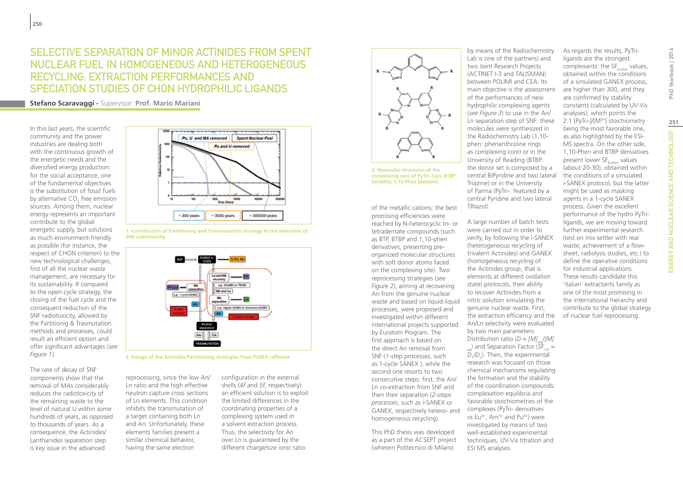## SELECTIVE SEPARATION OF MINOR ACTINIDES FROM SPENT NUCLEAR FUEL IN HOMOGENEOUS AND HETEROGENEOUS RECYCLING: EXTRACTION PERFORMANCES AND SPECIATION STUDIES OF CHON HYDROPHILIC LIGANDS

**Stefano Scaravaggi -** Supervisor: **Prof. Mario Mariani**

In this last years, the scientific community and the power industries are dealing both with the continuous growth of the energetic needs and the diversified energy production: for the social acceptance, one of the fundamental objectives is the substitution of fossil fuels by alternative  $\mathsf{CO}_2$  free emission sources. Among them, nuclear energy represents an important contribute to the global energetic supply, but solutions as much environment-friendly as possible (for instance, the respect of CHON criterion) to the new technological challenges, first of all the nuclear waste management, are necessary for its sustainability. If compared to the open cycle strategy, the closing of the fuel cycle and the consequent reduction of the SNF radiotoxicity, allowed by the Partitionig & Trasmutation methods and processes, could result an efficient option and offer significant advantages (*see Figure 1*).

The rate of decay of SNF components show that the removal of MAs considerably reduces the radiotoxicity of the remaining waste to the level of natural U within some hundreds of years, as opposed to thousands of years. As a consequence, the Actinides/ Lanthanides separation step is key issue in the advanced



**1. Contribution of Partitioning and Transmutation strategy to the reduction of SNF radiotoxicity**



**2. Design of the Actinides Partitioning strategies from PUREX raffinate**

reprocessing, since the low An/ Ln ratio and the high effective neutron capture cross sections of Ln elements. This condition inhibits the transmutation of a target containing both Ln and An. Unfortunately, these elements families present a similar chemical behavior, having the same electron

configuration in the external shells (*4f* and *5f*, respectively): an efficient solution is to exploit the limited differences in the coordinating properties of a complexing system used in a solvent extraction process. Thus, the selectivity for An over Ln is guaranteed by the different charge/size ionic ratio



**3. Molecular structures of the complexing core of PyTri- (up), BTBP (middle), 1,10-Phen (bottom)**

of the metallic cations: the best promising efficiencies were reached by N-heterocyclic tri- or tetradentate compounds (such as BTP, BTBP and 1,10-phen derivatives, presenting preorganized molecular structures with soft donor atoms faced on the complexing site). Two reprocessing strategies (*see Figure 2*), aiming at recovering An from the genuine nuclear waste and based on liquid-liquid processes, were proposed and investigated within different international projects supported by Euratom Program. The first approach is based on the direct An removal from SNF (*1-step processes*, such as 1-cycle SANEX ), while the second one resorts to two consecutive steps: first, the An/ Ln co-extraction from SNF and then their separation (*2-steps processes*, such as i-SANEX or GANEX, respectively hetero- and homogeneous recycling).

This PhD thesis was developed as a part of the ACSEPT project (wherein Politecnico di Milano

by means of the Radiochemistry Lab is one of the partners) and two Joint Research Projects (ACTINET I-3 and TALISMAN) between POLIMI and CEA. Its main objective is the assessment of the performances of new hydrophilic complexing agents (*see Figure 3*) to use in the An/ Ln separation step of SNF: these molecules were synthesized in the Radiochemistry Lab (1,10 phen: phenanthroline rings as complexing core) or in the University of Reading (BTBP: the donor set is composed by a central BiPyridine and two lateral Triazine) or in the University of Parma (PyTri-: featured by a central Pyridine and two lateral TRIazol).

A large number of batch tests were carried out in order to verify, by following the i-SANEX (heterogeneous recycling of trivalent Actinides) and GANEX (homogeneous recycling of the Actinides group, that is elements at different oxidation state) protocols, their ability to recover Actinides from a nitric solution simulating the genuine nuclear waste. First, the extraction efficiency and the An/Ln selectivity were evaluated by two main parameters: Distribution ratio  $(D = [M], /[M]$  $\alpha$ <sub>aq</sub>) and Separation Factor ( $\overrightarrow{SF}_{1/2}$  =  $D_1/D_2$ ). Then, the experimental research was focused on those chemical mechanisms regulating the formation and the stability of the coordination compounds: complexation equilibria and favorable stoichiometries of the complexes (PyTri- derivatives vs Eu<sup>3+</sup>, Am<sup>3+</sup> and Pu<sup>4+</sup>) were investigated by means of two well-established experimental techniques, UV-Vis titration and ESI MS analyses.

As regards the results, PyTriligands are the strongest complexants: the  $SF_{E,1/AB}$  values, obtained within the conditions of a simulated GANEX process, are higher than 300, and they are confirmed by stability constants (calculated by UV-Vis analyses), which points the 2:1 [PyTri-]/[M<sup>3+</sup>] stoichiometry being the most favorable one, as also highlighted by the ESI-MS spectra. On the other side, 1,10-Phen and BTBP derivatives present lower  $SF_{EUVAm}$  values (about 20-30), obtained within the conditions of a simulated *i*-SANEX protocol, but the latter might be used as masking agents in a 1-cycle SANEX process. Given the excellent performance of the hydro PyTriligands, we are moving toward further experimental research (test on mix settler with real waste, achievement of a flowsheet, radiolysis studies, etc.) to define the operative conditions for industrial applications. These results candidate this 'italian' extractants family as one of the most promising in the international hierarchy and contribute to the global strategy of nuclear fuel reprocessing.